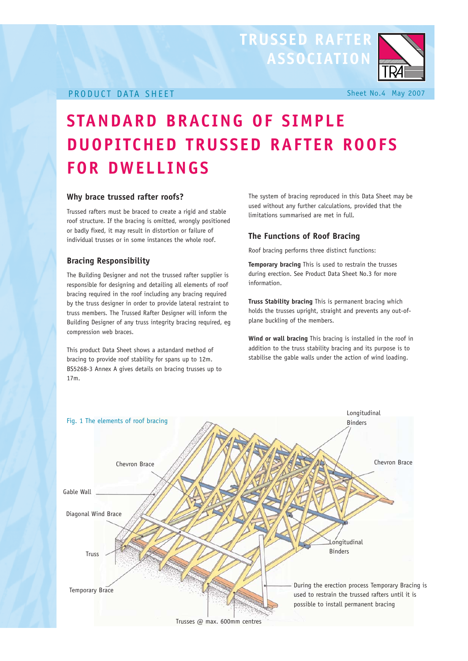### **TRUSSED RAFTER ASSOCIATION**



#### PRODUCT DATA SHEET Sheet No.4 May 2007

## **STANDARD BRACING OF SIMPLE DUOPITCHED TRUSSED RAFTER ROOFS FOR DWELLINGS**

#### **Why brace trussed rafter roofs?**

Trussed rafters must be braced to create a rigid and stable roof structure. If the bracing is omitted, wrongly positioned or badly fixed, it may result in distortion or failure of individual trusses or in some instances the whole roof.

#### **Bracing Responsibility**

The Building Designer and not the trussed rafter supplier is responsible for designing and detailing all elements of roof bracing required in the roof including any bracing required by the truss designer in order to provide lateral restraint to truss members. The Trussed Rafter Designer will inform the Building Designer of any truss integrity bracing required, eg compression web braces.

This product Data Sheet shows a astandard method of bracing to provide roof stability for spans up to 12m. BS5268-3 Annex A gives details on bracing trusses up to 17m.

The system of bracing reproduced in this Data Sheet may be used without any further calculations, provided that the limitations summarised are met in full.

#### **The Functions of Roof Bracing**

Roof bracing performs three distinct functions:

**Temporary bracing** This is used to restrain the trusses during erection. See Product Data Sheet No.3 for more information.

**Truss Stability bracing** This is permanent bracing which holds the trusses upright, straight and prevents any out-ofplane buckling of the members.

**Wind or wall bracing** This bracing is installed in the roof in addition to the truss stability bracing and its purpose is to stabilise the gable walls under the action of wind loading.

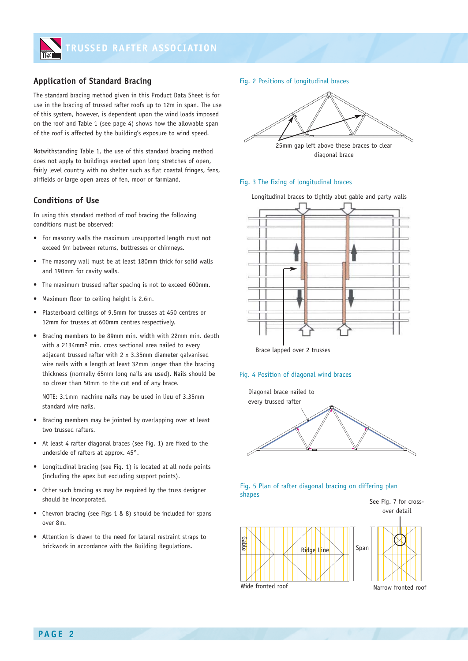

#### **Application of Standard Bracing**

The standard bracing method given in this Product Data Sheet is for use in the bracing of trussed rafter roofs up to 12m in span. The use of this system, however, is dependent upon the wind loads imposed on the roof and Table 1 (see page 4) shows how the allowable span of the roof is affected by the building's exposure to wind speed.

Notwithstanding Table 1, the use of this standard bracing method does not apply to buildings erected upon long stretches of open, fairly level country with no shelter such as flat coastal fringes, fens, airfields or large open areas of fen, moor or farmland.

#### **Conditions of Use**

In using this standard method of roof bracing the following conditions must be observed:

- For masonry walls the maximum unsupported length must not exceed 9m between returns, buttresses or chimneys.
- The masonry wall must be at least 180mm thick for solid walls and 190mm for cavity walls.
- The maximum trussed rafter spacing is not to exceed 600mm.
- Maximum floor to ceiling height is 2.6m.
- Plasterboard ceilings of 9.5mm for trusses at 450 centres or 12mm for trusses at 600mm centres respectively.
- Bracing members to be 89mm min. width with 22mm min. depth with a 2134mm2 min. cross sectional area nailed to every adjacent trussed rafter with 2 x 3.35mm diameter galvanised wire nails with a length at least 32mm longer than the bracing thickness (normally 65mm long nails are used). Nails should be no closer than 50mm to the cut end of any brace.

NOTE: 3.1mm machine nails may be used in lieu of 3.35mm standard wire nails.

- Bracing members may be jointed by overlapping over at least two trussed rafters.
- At least 4 rafter diagonal braces (see Fig. 1) are fixed to the underside of rafters at approx. 45°.
- Longitudinal bracing (see Fig. 1) is located at all node points (including the apex but excluding support points).
- Other such bracing as may be required by the truss designer should be incorporated.
- Chevron bracing (see Figs 1 & 8) should be included for spans over 8m.
- Attention is drawn to the need for lateral restraint straps to brickwork in accordance with the Building Regulations.

Fig. 2 Positions of longitudinal braces



#### Fig. 3 The fixing of longitudinal braces





#### Fig. 4 Position of diagonal wind braces









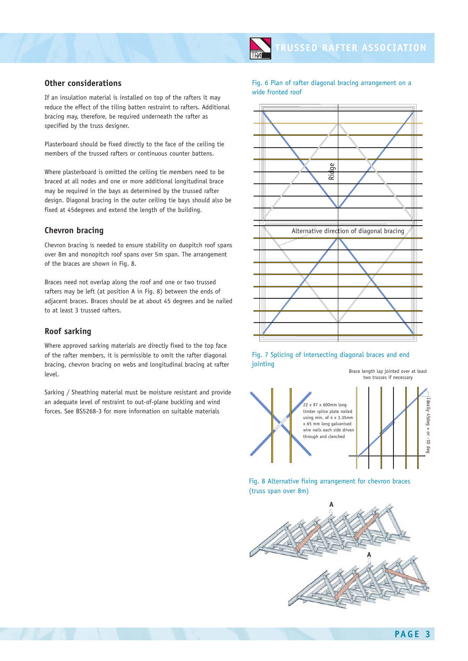#### **Other considerations**

If an insulation material is installed on top of the rafters it may reduce the effect of the tiling batten restraint to rafters. Additional bracing may, therefore, be required underneath the rafter as specified by the truss designer.

Plasterboard should be fixed directly to the face of the ceiling tie members of the trussed rafters or continuous counter battens.

Where plasterboard is omitted the ceiling tie members need to be braced at all nodes and one or more additional longitudinal brace may be required in the bays as determined by the trussed rafter design. Diagonal bracing in the outer ceiling tie bays should also be fixed at 45degrees and extend the length of the building.

#### **Chevron bracing**

Chevron bracing is needed to ensure stability on duopitch roof spans over 8m and monopitch roof spans over 5m span. The arrangement of the braces are shown in Fig. 8.

Braces need not overlap along the roof and one or two trussed rafters may be left (at position A in Fig. 8) between the ends of adjacent braces. Braces should be at about 45 degrees and be nailed to at least 3 trussed rafters.

#### **Roof sarking**

Where approved sarking materials are directly fixed to the top face of the rafter members, it is permissible to omit the rafter diagonal bracing, chevron bracing on webs and longitudinal bracing at rafter level.

Sarking / Sheathing material must be moisture resistant and provide an adequate level of restraint to out-of-plane buckling and wind forces. See BS5268-3 for more information on suitable materials

Fig. 6 Plan of rafter diagonal bracing arrangement on a wide fronted roof